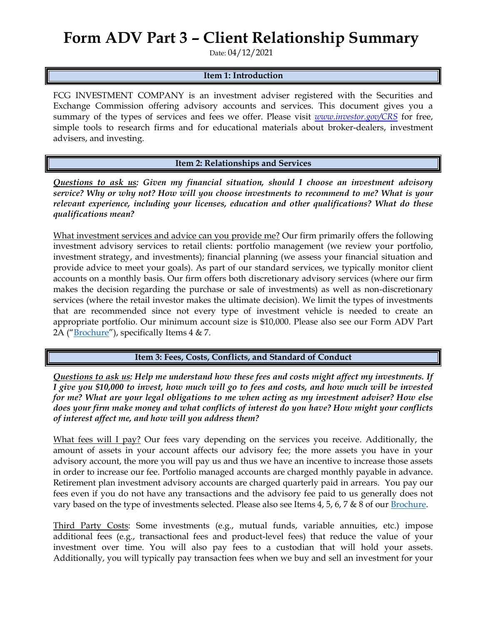## **Form ADV Part 3 – Client Relationship Summary**

Date: 04/12/2021

## **Item 1: Introduction**

FCG INVESTMENT COMPANY is an investment adviser registered with the Securities and Exchange Commission offering advisory accounts and services. This document gives you a summary of the types of services and fees we offer. Please visit *[www.investor.gov/CRS](http://www.investor.gov/CRS)* for free, simple tools to research firms and for educational materials about broker-dealers, investment advisers, and investing.

**Item 2: Relationships and Services**

*Questions to ask us: Given my financial situation, should I choose an investment advisory service? Why or why not? How will you choose investments to recommend to me? What is your relevant experience, including your licenses, education and other qualifications? What do these qualifications mean?*

What investment services and advice can you provide me? Our firm primarily offers the following investment advisory services to retail clients: portfolio management (we review your portfolio, investment strategy, and investments); financial planning (we assess your financial situation and provide advice to meet your goals). As part of our standard services, we typically monitor client accounts on a monthly basis. Our firm offers both discretionary advisory services (where our firm makes the decision regarding the purchase or sale of investments) as well as non-discretionary services (where the retail investor makes the ultimate decision). We limit the types of investments that are recommended since not every type of investment vehicle is needed to create an appropriate portfolio. Our minimum account size is \$10,000. Please also see our Form ADV Part 2A ("[Brochure](https://adviserinfo.sec.gov/firm/summary/308192)"), specifically Items 4 & 7.

**Item 3: Fees, Costs, Conflicts, and Standard of Conduct** 

*Questions to ask us: Help me understand how these fees and costs might affect my investments. If I give you \$10,000 to invest, how much will go to fees and costs, and how much will be invested for me? What are your legal obligations to me when acting as my investment adviser? How else does your firm make money and what conflicts of interest do you have? How might your conflicts of interest affect me, and how will you address them?* 

What fees will I pay? Our fees vary depending on the services you receive. Additionally, the amount of assets in your account affects our advisory fee; the more assets you have in your advisory account, the more you will pay us and thus we have an incentive to increase those assets in order to increase our fee. Portfolio managed accounts are charged monthly payable in advance. Retirement plan investment advisory accounts are charged quarterly paid in arrears. You pay our fees even if you do not have any transactions and the advisory fee paid to us generally does not vary based on the type of investments selected. Please also see Items 4, 5, 6, 7 & 8 of our [Brochure.](https://adviserinfo.sec.gov/firm/summary/308192)

Third Party Costs: Some investments (e.g., mutual funds, variable annuities, etc.) impose additional fees (e.g., transactional fees and product-level fees) that reduce the value of your investment over time. You will also pay fees to a custodian that will hold your assets. Additionally, you will typically pay transaction fees when we buy and sell an investment for your